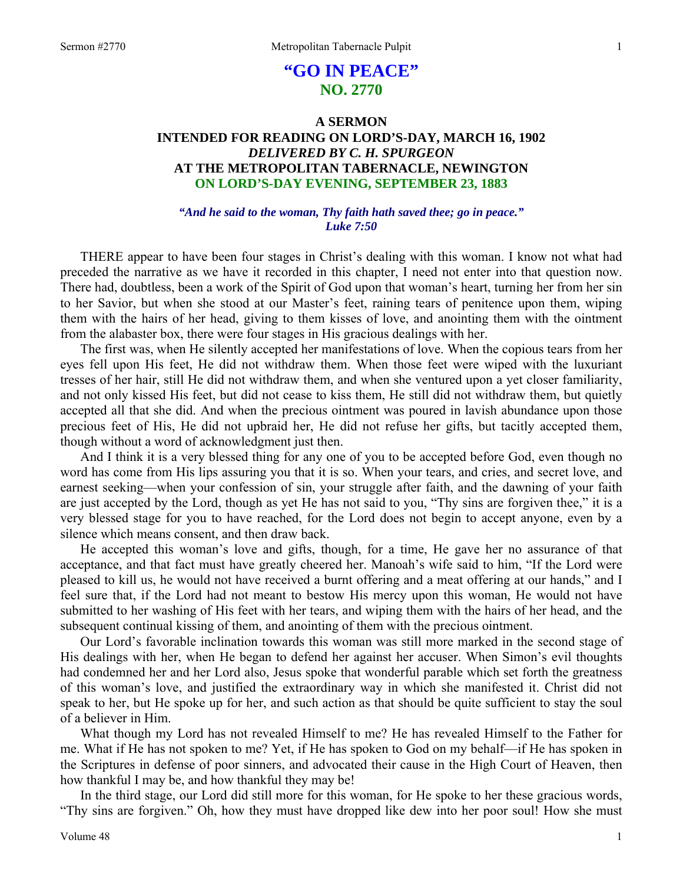# **"GO IN PEACE" NO. 2770**

# **A SERMON INTENDED FOR READING ON LORD'S-DAY, MARCH 16, 1902**  *DELIVERED BY C. H. SPURGEON*  **AT THE METROPOLITAN TABERNACLE, NEWINGTON ON LORD'S-DAY EVENING, SEPTEMBER 23, 1883**

### *"And he said to the woman, Thy faith hath saved thee; go in peace." Luke 7:50*

THERE appear to have been four stages in Christ's dealing with this woman. I know not what had preceded the narrative as we have it recorded in this chapter, I need not enter into that question now. There had, doubtless, been a work of the Spirit of God upon that woman's heart, turning her from her sin to her Savior, but when she stood at our Master's feet, raining tears of penitence upon them, wiping them with the hairs of her head, giving to them kisses of love, and anointing them with the ointment from the alabaster box, there were four stages in His gracious dealings with her.

The first was, when He silently accepted her manifestations of love. When the copious tears from her eyes fell upon His feet, He did not withdraw them. When those feet were wiped with the luxuriant tresses of her hair, still He did not withdraw them, and when she ventured upon a yet closer familiarity, and not only kissed His feet, but did not cease to kiss them, He still did not withdraw them, but quietly accepted all that she did. And when the precious ointment was poured in lavish abundance upon those precious feet of His, He did not upbraid her, He did not refuse her gifts, but tacitly accepted them, though without a word of acknowledgment just then.

And I think it is a very blessed thing for any one of you to be accepted before God, even though no word has come from His lips assuring you that it is so. When your tears, and cries, and secret love, and earnest seeking—when your confession of sin, your struggle after faith, and the dawning of your faith are just accepted by the Lord, though as yet He has not said to you, "Thy sins are forgiven thee," it is a very blessed stage for you to have reached, for the Lord does not begin to accept anyone, even by a silence which means consent, and then draw back.

He accepted this woman's love and gifts, though, for a time, He gave her no assurance of that acceptance, and that fact must have greatly cheered her. Manoah's wife said to him, "If the Lord were pleased to kill us, he would not have received a burnt offering and a meat offering at our hands," and I feel sure that, if the Lord had not meant to bestow His mercy upon this woman, He would not have submitted to her washing of His feet with her tears, and wiping them with the hairs of her head, and the subsequent continual kissing of them, and anointing of them with the precious ointment.

Our Lord's favorable inclination towards this woman was still more marked in the second stage of His dealings with her, when He began to defend her against her accuser. When Simon's evil thoughts had condemned her and her Lord also, Jesus spoke that wonderful parable which set forth the greatness of this woman's love, and justified the extraordinary way in which she manifested it. Christ did not speak to her, but He spoke up for her, and such action as that should be quite sufficient to stay the soul of a believer in Him.

What though my Lord has not revealed Himself to me? He has revealed Himself to the Father for me. What if He has not spoken to me? Yet, if He has spoken to God on my behalf—if He has spoken in the Scriptures in defense of poor sinners, and advocated their cause in the High Court of Heaven, then how thankful I may be, and how thankful they may be!

In the third stage, our Lord did still more for this woman, for He spoke to her these gracious words, "Thy sins are forgiven." Oh, how they must have dropped like dew into her poor soul! How she must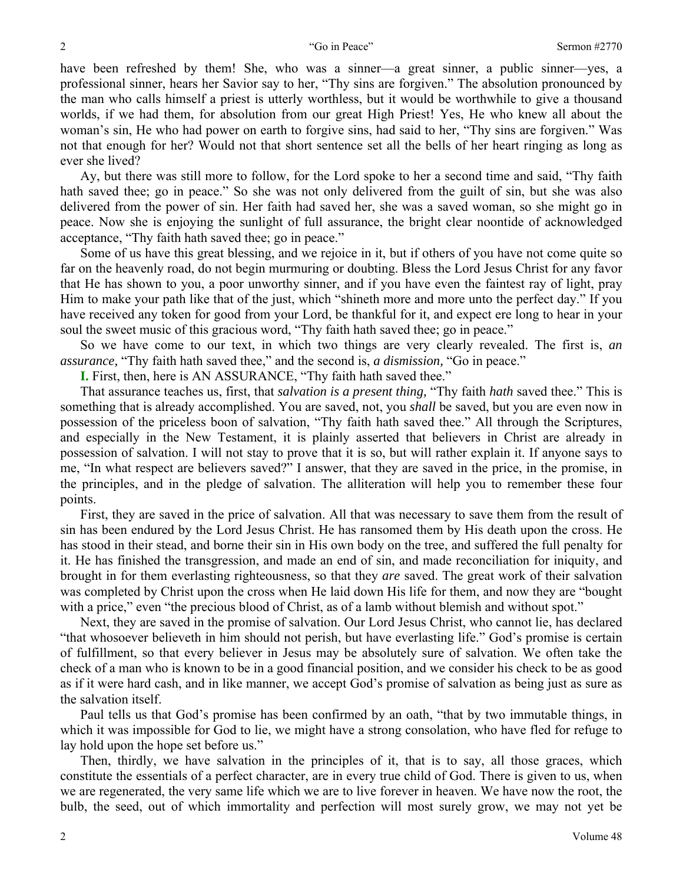have been refreshed by them! She, who was a sinner—a great sinner, a public sinner—yes, a professional sinner, hears her Savior say to her, "Thy sins are forgiven." The absolution pronounced by the man who calls himself a priest is utterly worthless, but it would be worthwhile to give a thousand worlds, if we had them, for absolution from our great High Priest! Yes, He who knew all about the woman's sin, He who had power on earth to forgive sins, had said to her, "Thy sins are forgiven." Was not that enough for her? Would not that short sentence set all the bells of her heart ringing as long as ever she lived?

Ay, but there was still more to follow, for the Lord spoke to her a second time and said, "Thy faith hath saved thee; go in peace." So she was not only delivered from the guilt of sin, but she was also delivered from the power of sin. Her faith had saved her, she was a saved woman, so she might go in peace. Now she is enjoying the sunlight of full assurance, the bright clear noontide of acknowledged acceptance, "Thy faith hath saved thee; go in peace."

Some of us have this great blessing, and we rejoice in it, but if others of you have not come quite so far on the heavenly road, do not begin murmuring or doubting. Bless the Lord Jesus Christ for any favor that He has shown to you, a poor unworthy sinner, and if you have even the faintest ray of light, pray Him to make your path like that of the just, which "shineth more and more unto the perfect day." If you have received any token for good from your Lord, be thankful for it, and expect ere long to hear in your soul the sweet music of this gracious word, "Thy faith hath saved thee; go in peace."

So we have come to our text, in which two things are very clearly revealed. The first is, *an assurance,* "Thy faith hath saved thee," and the second is, *a dismission,* "Go in peace."

**I.** First, then, here is AN ASSURANCE, "Thy faith hath saved thee."

That assurance teaches us, first, that *salvation is a present thing,* "Thy faith *hath* saved thee." This is something that is already accomplished. You are saved, not, you *shall* be saved, but you are even now in possession of the priceless boon of salvation, "Thy faith hath saved thee." All through the Scriptures, and especially in the New Testament, it is plainly asserted that believers in Christ are already in possession of salvation. I will not stay to prove that it is so, but will rather explain it. If anyone says to me, "In what respect are believers saved?" I answer, that they are saved in the price, in the promise, in the principles, and in the pledge of salvation. The alliteration will help you to remember these four points.

First, they are saved in the price of salvation. All that was necessary to save them from the result of sin has been endured by the Lord Jesus Christ. He has ransomed them by His death upon the cross. He has stood in their stead, and borne their sin in His own body on the tree, and suffered the full penalty for it. He has finished the transgression, and made an end of sin, and made reconciliation for iniquity, and brought in for them everlasting righteousness, so that they *are* saved. The great work of their salvation was completed by Christ upon the cross when He laid down His life for them, and now they are "bought with a price," even "the precious blood of Christ, as of a lamb without blemish and without spot."

Next, they are saved in the promise of salvation. Our Lord Jesus Christ, who cannot lie, has declared "that whosoever believeth in him should not perish, but have everlasting life." God's promise is certain of fulfillment, so that every believer in Jesus may be absolutely sure of salvation. We often take the check of a man who is known to be in a good financial position, and we consider his check to be as good as if it were hard cash, and in like manner, we accept God's promise of salvation as being just as sure as the salvation itself.

Paul tells us that God's promise has been confirmed by an oath, "that by two immutable things, in which it was impossible for God to lie, we might have a strong consolation, who have fled for refuge to lay hold upon the hope set before us."

Then, thirdly, we have salvation in the principles of it, that is to say, all those graces, which constitute the essentials of a perfect character, are in every true child of God. There is given to us, when we are regenerated, the very same life which we are to live forever in heaven. We have now the root, the bulb, the seed, out of which immortality and perfection will most surely grow, we may not yet be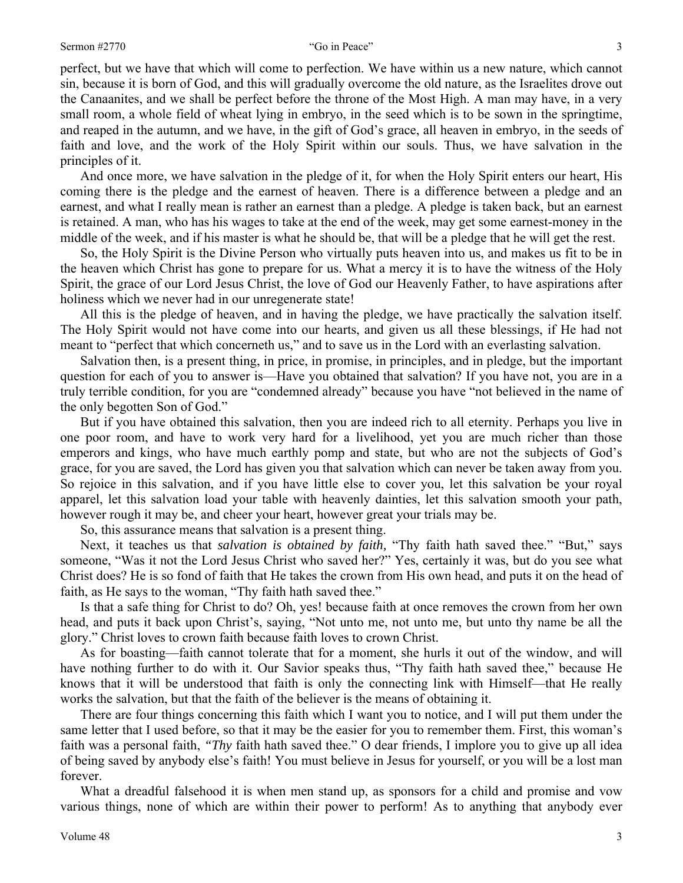perfect, but we have that which will come to perfection. We have within us a new nature, which cannot sin, because it is born of God, and this will gradually overcome the old nature, as the Israelites drove out the Canaanites, and we shall be perfect before the throne of the Most High. A man may have, in a very small room, a whole field of wheat lying in embryo, in the seed which is to be sown in the springtime, and reaped in the autumn, and we have, in the gift of God's grace, all heaven in embryo, in the seeds of faith and love, and the work of the Holy Spirit within our souls. Thus, we have salvation in the principles of it.

And once more, we have salvation in the pledge of it, for when the Holy Spirit enters our heart, His coming there is the pledge and the earnest of heaven. There is a difference between a pledge and an earnest, and what I really mean is rather an earnest than a pledge. A pledge is taken back, but an earnest is retained. A man, who has his wages to take at the end of the week, may get some earnest-money in the middle of the week, and if his master is what he should be, that will be a pledge that he will get the rest.

So, the Holy Spirit is the Divine Person who virtually puts heaven into us, and makes us fit to be in the heaven which Christ has gone to prepare for us. What a mercy it is to have the witness of the Holy Spirit, the grace of our Lord Jesus Christ, the love of God our Heavenly Father, to have aspirations after holiness which we never had in our unregenerate state!

All this is the pledge of heaven, and in having the pledge, we have practically the salvation itself. The Holy Spirit would not have come into our hearts, and given us all these blessings, if He had not meant to "perfect that which concerneth us," and to save us in the Lord with an everlasting salvation.

Salvation then, is a present thing, in price, in promise, in principles, and in pledge, but the important question for each of you to answer is—Have you obtained that salvation? If you have not, you are in a truly terrible condition, for you are "condemned already" because you have "not believed in the name of the only begotten Son of God."

But if you have obtained this salvation, then you are indeed rich to all eternity. Perhaps you live in one poor room, and have to work very hard for a livelihood, yet you are much richer than those emperors and kings, who have much earthly pomp and state, but who are not the subjects of God's grace, for you are saved, the Lord has given you that salvation which can never be taken away from you. So rejoice in this salvation, and if you have little else to cover you, let this salvation be your royal apparel, let this salvation load your table with heavenly dainties, let this salvation smooth your path, however rough it may be, and cheer your heart, however great your trials may be.

So, this assurance means that salvation is a present thing.

Next, it teaches us that *salvation is obtained by faith,* "Thy faith hath saved thee." "But," says someone, "Was it not the Lord Jesus Christ who saved her?" Yes, certainly it was, but do you see what Christ does? He is so fond of faith that He takes the crown from His own head, and puts it on the head of faith, as He says to the woman, "Thy faith hath saved thee."

Is that a safe thing for Christ to do? Oh, yes! because faith at once removes the crown from her own head, and puts it back upon Christ's, saying, "Not unto me, not unto me, but unto thy name be all the glory." Christ loves to crown faith because faith loves to crown Christ.

As for boasting—faith cannot tolerate that for a moment, she hurls it out of the window, and will have nothing further to do with it. Our Savior speaks thus, "Thy faith hath saved thee," because He knows that it will be understood that faith is only the connecting link with Himself—that He really works the salvation, but that the faith of the believer is the means of obtaining it.

There are four things concerning this faith which I want you to notice, and I will put them under the same letter that I used before, so that it may be the easier for you to remember them. First, this woman's faith was a personal faith, *"Thy* faith hath saved thee." O dear friends, I implore you to give up all idea of being saved by anybody else's faith! You must believe in Jesus for yourself, or you will be a lost man forever.

What a dreadful falsehood it is when men stand up, as sponsors for a child and promise and vow various things, none of which are within their power to perform! As to anything that anybody ever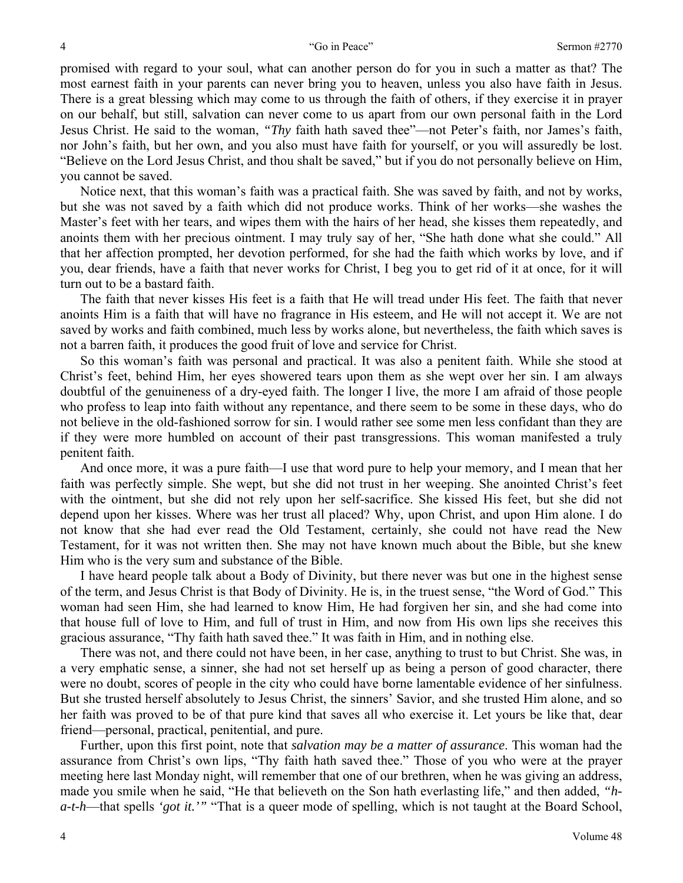promised with regard to your soul, what can another person do for you in such a matter as that? The most earnest faith in your parents can never bring you to heaven, unless you also have faith in Jesus. There is a great blessing which may come to us through the faith of others, if they exercise it in prayer on our behalf, but still, salvation can never come to us apart from our own personal faith in the Lord Jesus Christ. He said to the woman, *"Thy* faith hath saved thee"—not Peter's faith, nor James's faith, nor John's faith, but her own, and you also must have faith for yourself, or you will assuredly be lost. "Believe on the Lord Jesus Christ, and thou shalt be saved," but if you do not personally believe on Him, you cannot be saved.

Notice next, that this woman's faith was a practical faith. She was saved by faith, and not by works, but she was not saved by a faith which did not produce works. Think of her works—she washes the Master's feet with her tears, and wipes them with the hairs of her head, she kisses them repeatedly, and anoints them with her precious ointment. I may truly say of her, "She hath done what she could." All that her affection prompted, her devotion performed, for she had the faith which works by love, and if you, dear friends, have a faith that never works for Christ, I beg you to get rid of it at once, for it will turn out to be a bastard faith.

The faith that never kisses His feet is a faith that He will tread under His feet. The faith that never anoints Him is a faith that will have no fragrance in His esteem, and He will not accept it. We are not saved by works and faith combined, much less by works alone, but nevertheless, the faith which saves is not a barren faith, it produces the good fruit of love and service for Christ.

So this woman's faith was personal and practical. It was also a penitent faith. While she stood at Christ's feet, behind Him, her eyes showered tears upon them as she wept over her sin. I am always doubtful of the genuineness of a dry-eyed faith. The longer I live, the more I am afraid of those people who profess to leap into faith without any repentance, and there seem to be some in these days, who do not believe in the old-fashioned sorrow for sin. I would rather see some men less confidant than they are if they were more humbled on account of their past transgressions. This woman manifested a truly penitent faith.

And once more, it was a pure faith—I use that word pure to help your memory, and I mean that her faith was perfectly simple. She wept, but she did not trust in her weeping. She anointed Christ's feet with the ointment, but she did not rely upon her self-sacrifice. She kissed His feet, but she did not depend upon her kisses. Where was her trust all placed? Why, upon Christ, and upon Him alone. I do not know that she had ever read the Old Testament, certainly, she could not have read the New Testament, for it was not written then. She may not have known much about the Bible, but she knew Him who is the very sum and substance of the Bible.

I have heard people talk about a Body of Divinity, but there never was but one in the highest sense of the term, and Jesus Christ is that Body of Divinity. He is, in the truest sense, "the Word of God." This woman had seen Him, she had learned to know Him, He had forgiven her sin, and she had come into that house full of love to Him, and full of trust in Him, and now from His own lips she receives this gracious assurance, "Thy faith hath saved thee." It was faith in Him, and in nothing else.

There was not, and there could not have been, in her case, anything to trust to but Christ. She was, in a very emphatic sense, a sinner, she had not set herself up as being a person of good character, there were no doubt, scores of people in the city who could have borne lamentable evidence of her sinfulness. But she trusted herself absolutely to Jesus Christ, the sinners' Savior, and she trusted Him alone, and so her faith was proved to be of that pure kind that saves all who exercise it. Let yours be like that, dear friend—personal, practical, penitential, and pure.

Further, upon this first point, note that *salvation may be a matter of assurance*. This woman had the assurance from Christ's own lips, "Thy faith hath saved thee." Those of you who were at the prayer meeting here last Monday night, will remember that one of our brethren, when he was giving an address, made you smile when he said, "He that believeth on the Son hath everlasting life," and then added, *"ha-t-h*—that spells *'got it.'"* "That is a queer mode of spelling, which is not taught at the Board School,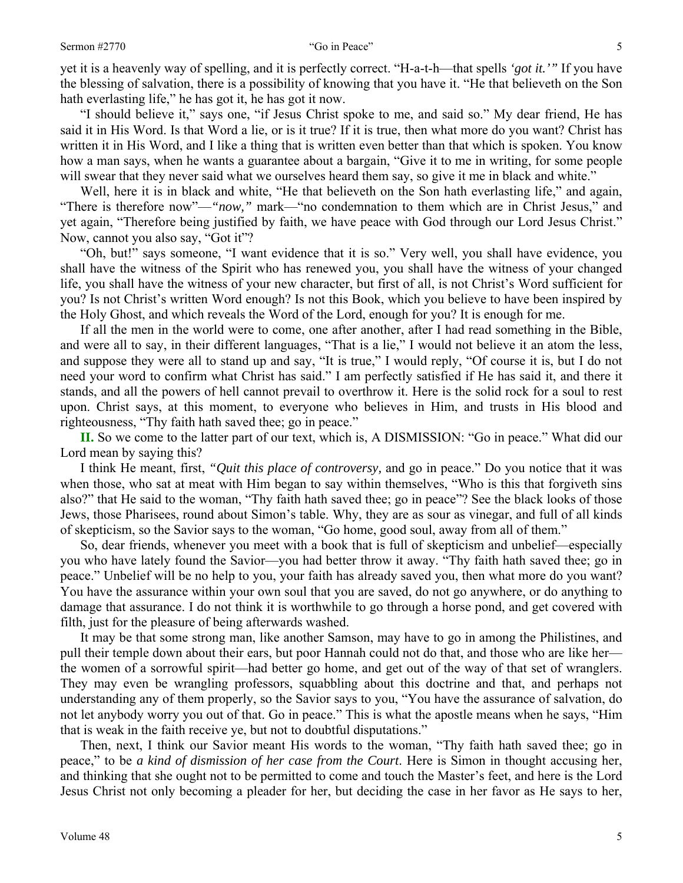yet it is a heavenly way of spelling, and it is perfectly correct. "H-a-t-h—that spells *'got it.'"* If you have the blessing of salvation, there is a possibility of knowing that you have it. "He that believeth on the Son hath everlasting life," he has got it, he has got it now.

"I should believe it," says one, "if Jesus Christ spoke to me, and said so." My dear friend, He has said it in His Word. Is that Word a lie, or is it true? If it is true, then what more do you want? Christ has written it in His Word, and I like a thing that is written even better than that which is spoken. You know how a man says, when he wants a guarantee about a bargain, "Give it to me in writing, for some people will swear that they never said what we ourselves heard them say, so give it me in black and white."

Well, here it is in black and white, "He that believeth on the Son hath everlasting life," and again, "There is therefore now"—*"now,"* mark—"no condemnation to them which are in Christ Jesus," and yet again, "Therefore being justified by faith, we have peace with God through our Lord Jesus Christ." Now, cannot you also say, "Got it"?

"Oh, but!" says someone, "I want evidence that it is so." Very well, you shall have evidence, you shall have the witness of the Spirit who has renewed you, you shall have the witness of your changed life, you shall have the witness of your new character, but first of all, is not Christ's Word sufficient for you? Is not Christ's written Word enough? Is not this Book, which you believe to have been inspired by the Holy Ghost, and which reveals the Word of the Lord, enough for you? It is enough for me.

If all the men in the world were to come, one after another, after I had read something in the Bible, and were all to say, in their different languages, "That is a lie," I would not believe it an atom the less, and suppose they were all to stand up and say, "It is true," I would reply, "Of course it is, but I do not need your word to confirm what Christ has said." I am perfectly satisfied if He has said it, and there it stands, and all the powers of hell cannot prevail to overthrow it. Here is the solid rock for a soul to rest upon. Christ says, at this moment, to everyone who believes in Him, and trusts in His blood and righteousness, "Thy faith hath saved thee; go in peace."

**II.** So we come to the latter part of our text, which is, A DISMISSION: "Go in peace." What did our Lord mean by saying this?

I think He meant, first, *"Quit this place of controversy,* and go in peace." Do you notice that it was when those, who sat at meat with Him began to say within themselves, "Who is this that forgiveth sins also?" that He said to the woman, "Thy faith hath saved thee; go in peace"? See the black looks of those Jews, those Pharisees, round about Simon's table. Why, they are as sour as vinegar, and full of all kinds of skepticism, so the Savior says to the woman, "Go home, good soul, away from all of them."

So, dear friends, whenever you meet with a book that is full of skepticism and unbelief—especially you who have lately found the Savior—you had better throw it away. "Thy faith hath saved thee; go in peace." Unbelief will be no help to you, your faith has already saved you, then what more do you want? You have the assurance within your own soul that you are saved, do not go anywhere, or do anything to damage that assurance. I do not think it is worthwhile to go through a horse pond, and get covered with filth, just for the pleasure of being afterwards washed.

It may be that some strong man, like another Samson, may have to go in among the Philistines, and pull their temple down about their ears, but poor Hannah could not do that, and those who are like her the women of a sorrowful spirit—had better go home, and get out of the way of that set of wranglers. They may even be wrangling professors, squabbling about this doctrine and that, and perhaps not understanding any of them properly, so the Savior says to you, "You have the assurance of salvation, do not let anybody worry you out of that. Go in peace." This is what the apostle means when he says, "Him that is weak in the faith receive ye, but not to doubtful disputations."

Then, next, I think our Savior meant His words to the woman, "Thy faith hath saved thee; go in peace," to be *a kind of dismission of her case from the Court*. Here is Simon in thought accusing her, and thinking that she ought not to be permitted to come and touch the Master's feet, and here is the Lord Jesus Christ not only becoming a pleader for her, but deciding the case in her favor as He says to her,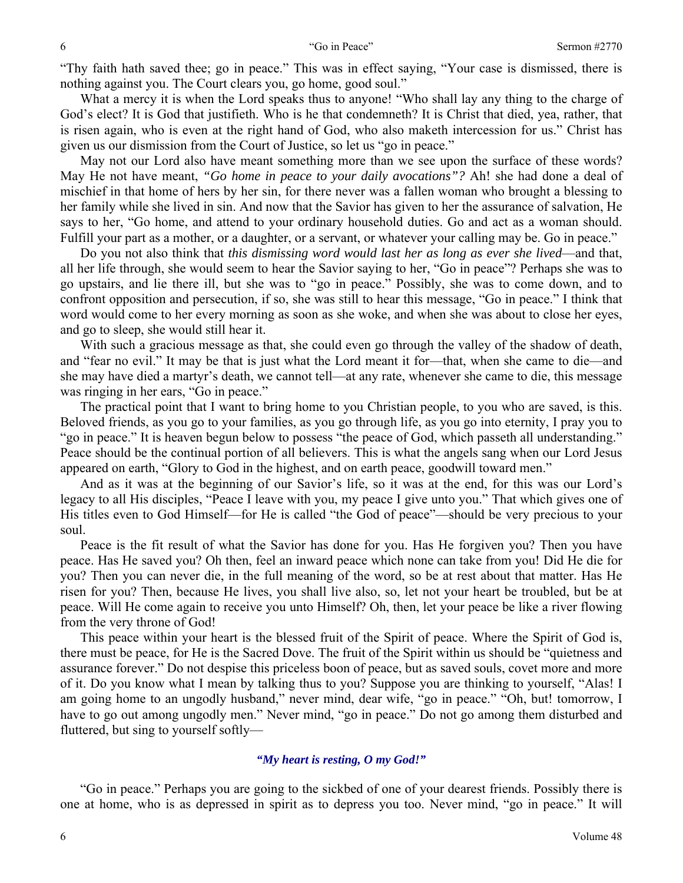"Thy faith hath saved thee; go in peace." This was in effect saying, "Your case is dismissed, there is nothing against you. The Court clears you, go home, good soul."

What a mercy it is when the Lord speaks thus to anyone! "Who shall lay any thing to the charge of God's elect? It is God that justifieth. Who is he that condemneth? It is Christ that died, yea, rather, that is risen again, who is even at the right hand of God, who also maketh intercession for us." Christ has given us our dismission from the Court of Justice, so let us "go in peace."

May not our Lord also have meant something more than we see upon the surface of these words? May He not have meant, *"Go home in peace to your daily avocations"?* Ah! she had done a deal of mischief in that home of hers by her sin, for there never was a fallen woman who brought a blessing to her family while she lived in sin. And now that the Savior has given to her the assurance of salvation, He says to her, "Go home, and attend to your ordinary household duties. Go and act as a woman should. Fulfill your part as a mother, or a daughter, or a servant, or whatever your calling may be. Go in peace."

Do you not also think that *this dismissing word would last her as long as ever she lived*—and that, all her life through, she would seem to hear the Savior saying to her, "Go in peace"? Perhaps she was to go upstairs, and lie there ill, but she was to "go in peace." Possibly, she was to come down, and to confront opposition and persecution, if so, she was still to hear this message, "Go in peace." I think that word would come to her every morning as soon as she woke, and when she was about to close her eyes, and go to sleep, she would still hear it.

With such a gracious message as that, she could even go through the valley of the shadow of death, and "fear no evil." It may be that is just what the Lord meant it for—that, when she came to die—and she may have died a martyr's death, we cannot tell—at any rate, whenever she came to die, this message was ringing in her ears, "Go in peace."

The practical point that I want to bring home to you Christian people, to you who are saved, is this. Beloved friends, as you go to your families, as you go through life, as you go into eternity, I pray you to "go in peace." It is heaven begun below to possess "the peace of God, which passeth all understanding." Peace should be the continual portion of all believers. This is what the angels sang when our Lord Jesus appeared on earth, "Glory to God in the highest, and on earth peace, goodwill toward men."

And as it was at the beginning of our Savior's life, so it was at the end, for this was our Lord's legacy to all His disciples, "Peace I leave with you, my peace I give unto you." That which gives one of His titles even to God Himself—for He is called "the God of peace"—should be very precious to your soul.

Peace is the fit result of what the Savior has done for you. Has He forgiven you? Then you have peace. Has He saved you? Oh then, feel an inward peace which none can take from you! Did He die for you? Then you can never die, in the full meaning of the word, so be at rest about that matter. Has He risen for you? Then, because He lives, you shall live also, so, let not your heart be troubled, but be at peace. Will He come again to receive you unto Himself? Oh, then, let your peace be like a river flowing from the very throne of God!

This peace within your heart is the blessed fruit of the Spirit of peace. Where the Spirit of God is, there must be peace, for He is the Sacred Dove. The fruit of the Spirit within us should be "quietness and assurance forever." Do not despise this priceless boon of peace, but as saved souls, covet more and more of it. Do you know what I mean by talking thus to you? Suppose you are thinking to yourself, "Alas! I am going home to an ungodly husband," never mind, dear wife, "go in peace." "Oh, but! tomorrow, I have to go out among ungodly men." Never mind, "go in peace." Do not go among them disturbed and fluttered, but sing to yourself softly—

### *"My heart is resting, O my God!"*

"Go in peace." Perhaps you are going to the sickbed of one of your dearest friends. Possibly there is one at home, who is as depressed in spirit as to depress you too. Never mind, "go in peace." It will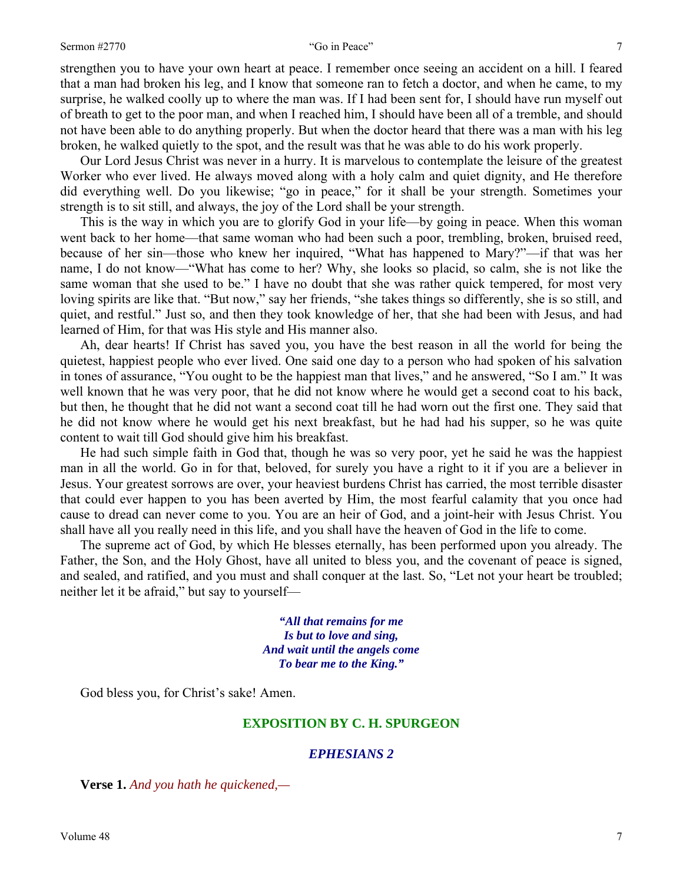strengthen you to have your own heart at peace. I remember once seeing an accident on a hill. I feared that a man had broken his leg, and I know that someone ran to fetch a doctor, and when he came, to my surprise, he walked coolly up to where the man was. If I had been sent for, I should have run myself out

of breath to get to the poor man, and when I reached him, I should have been all of a tremble, and should not have been able to do anything properly. But when the doctor heard that there was a man with his leg broken, he walked quietly to the spot, and the result was that he was able to do his work properly.

Our Lord Jesus Christ was never in a hurry. It is marvelous to contemplate the leisure of the greatest Worker who ever lived. He always moved along with a holy calm and quiet dignity, and He therefore did everything well. Do you likewise; "go in peace," for it shall be your strength. Sometimes your strength is to sit still, and always, the joy of the Lord shall be your strength.

This is the way in which you are to glorify God in your life—by going in peace. When this woman went back to her home—that same woman who had been such a poor, trembling, broken, bruised reed, because of her sin—those who knew her inquired, "What has happened to Mary?"—if that was her name, I do not know—"What has come to her? Why, she looks so placid, so calm, she is not like the same woman that she used to be." I have no doubt that she was rather quick tempered, for most very loving spirits are like that. "But now," say her friends, "she takes things so differently, she is so still, and quiet, and restful." Just so, and then they took knowledge of her, that she had been with Jesus, and had learned of Him, for that was His style and His manner also.

Ah, dear hearts! If Christ has saved you, you have the best reason in all the world for being the quietest, happiest people who ever lived. One said one day to a person who had spoken of his salvation in tones of assurance, "You ought to be the happiest man that lives," and he answered, "So I am." It was well known that he was very poor, that he did not know where he would get a second coat to his back, but then, he thought that he did not want a second coat till he had worn out the first one. They said that he did not know where he would get his next breakfast, but he had had his supper, so he was quite content to wait till God should give him his breakfast.

He had such simple faith in God that, though he was so very poor, yet he said he was the happiest man in all the world. Go in for that, beloved, for surely you have a right to it if you are a believer in Jesus. Your greatest sorrows are over, your heaviest burdens Christ has carried, the most terrible disaster that could ever happen to you has been averted by Him, the most fearful calamity that you once had cause to dread can never come to you. You are an heir of God, and a joint-heir with Jesus Christ. You shall have all you really need in this life, and you shall have the heaven of God in the life to come.

The supreme act of God, by which He blesses eternally, has been performed upon you already. The Father, the Son, and the Holy Ghost, have all united to bless you, and the covenant of peace is signed, and sealed, and ratified, and you must and shall conquer at the last. So, "Let not your heart be troubled; neither let it be afraid," but say to yourself—

> *"All that remains for me Is but to love and sing, And wait until the angels come To bear me to the King."*

God bless you, for Christ's sake! Amen.

# **EXPOSITION BY C. H. SPURGEON**

# *EPHESIANS 2*

**Verse 1.** *And you hath he quickened,—*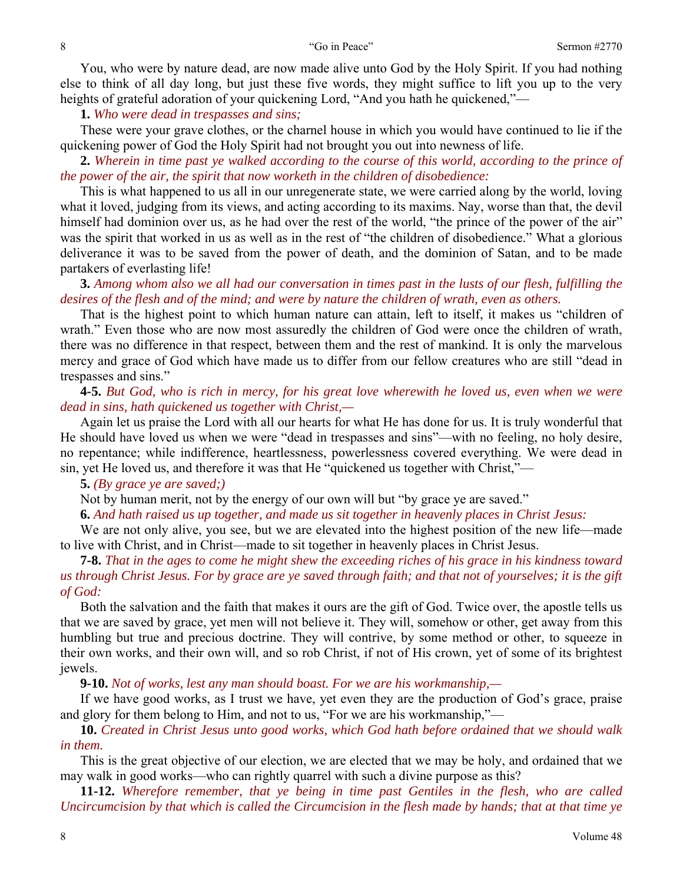You, who were by nature dead, are now made alive unto God by the Holy Spirit. If you had nothing else to think of all day long, but just these five words, they might suffice to lift you up to the very heights of grateful adoration of your quickening Lord, "And you hath he quickened,"—

**1.** *Who were dead in trespasses and sins;* 

These were your grave clothes, or the charnel house in which you would have continued to lie if the quickening power of God the Holy Spirit had not brought you out into newness of life.

**2.** *Wherein in time past ye walked according to the course of this world, according to the prince of the power of the air, the spirit that now worketh in the children of disobedience:* 

This is what happened to us all in our unregenerate state, we were carried along by the world, loving what it loved, judging from its views, and acting according to its maxims. Nay, worse than that, the devil himself had dominion over us, as he had over the rest of the world, "the prince of the power of the air" was the spirit that worked in us as well as in the rest of "the children of disobedience." What a glorious deliverance it was to be saved from the power of death, and the dominion of Satan, and to be made partakers of everlasting life!

**3.** *Among whom also we all had our conversation in times past in the lusts of our flesh, fulfilling the desires of the flesh and of the mind; and were by nature the children of wrath, even as others.* 

That is the highest point to which human nature can attain, left to itself, it makes us "children of wrath." Even those who are now most assuredly the children of God were once the children of wrath, there was no difference in that respect, between them and the rest of mankind. It is only the marvelous mercy and grace of God which have made us to differ from our fellow creatures who are still "dead in trespasses and sins."

**4-5.** *But God, who is rich in mercy, for his great love wherewith he loved us, even when we were dead in sins, hath quickened us together with Christ,—* 

Again let us praise the Lord with all our hearts for what He has done for us. It is truly wonderful that He should have loved us when we were "dead in trespasses and sins"—with no feeling, no holy desire, no repentance; while indifference, heartlessness, powerlessness covered everything. We were dead in sin, yet He loved us, and therefore it was that He "quickened us together with Christ,"—

**5.** *(By grace ye are saved;)* 

Not by human merit, not by the energy of our own will but "by grace ye are saved."

**6.** *And hath raised us up together, and made us sit together in heavenly places in Christ Jesus:* 

We are not only alive, you see, but we are elevated into the highest position of the new life—made to live with Christ, and in Christ—made to sit together in heavenly places in Christ Jesus.

**7-8.** *That in the ages to come he might shew the exceeding riches of his grace in his kindness toward us through Christ Jesus. For by grace are ye saved through faith; and that not of yourselves; it is the gift of God:* 

Both the salvation and the faith that makes it ours are the gift of God. Twice over, the apostle tells us that we are saved by grace, yet men will not believe it. They will, somehow or other, get away from this humbling but true and precious doctrine. They will contrive, by some method or other, to squeeze in their own works, and their own will, and so rob Christ, if not of His crown, yet of some of its brightest jewels.

**9-10.** *Not of works, lest any man should boast. For we are his workmanship,—* 

If we have good works, as I trust we have, yet even they are the production of God's grace, praise and glory for them belong to Him, and not to us, "For we are his workmanship,"—

**10.** *Created in Christ Jesus unto good works, which God hath before ordained that we should walk in them.* 

This is the great objective of our election, we are elected that we may be holy, and ordained that we may walk in good works—who can rightly quarrel with such a divine purpose as this?

**11-12.** *Wherefore remember, that ye being in time past Gentiles in the flesh, who are called Uncircumcision by that which is called the Circumcision in the flesh made by hands; that at that time ye*